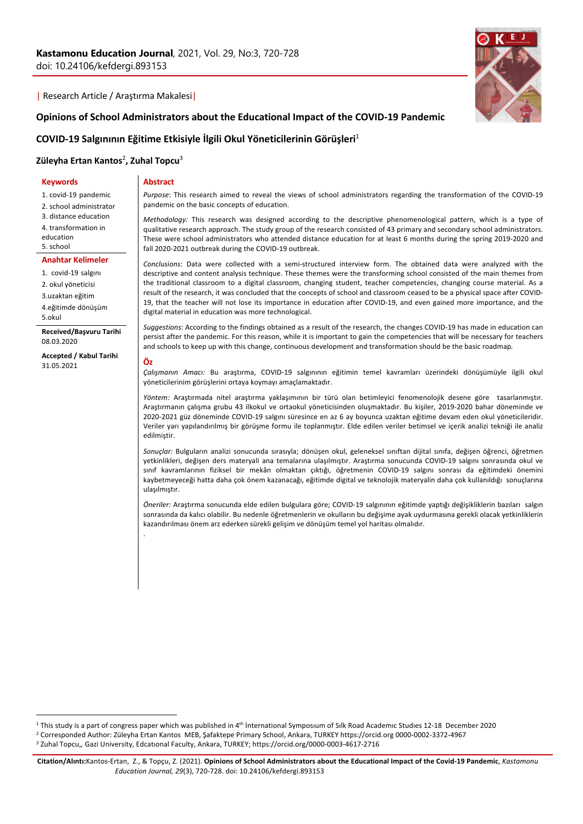**Abstract**

### | Research Article / Araştırma Makalesi|

**Opinions of School Administrators about the Educational Impact of the COVID-19 Pandemic** 

# **COVID-19 Salgınının Eğitime Etkisiyle İlgili Okul Yöneticilerinin Görüşleri**<sup>1</sup>

# **Züleyha Ertan Kantos**<sup>2</sup> **, Zuhal Topcu**<sup>3</sup>

#### **Keywords**

1. covid-19 pandemic

2. school administrator

3. distance education

4. transformation in

education

5. school

## **Anahtar Kelimeler**

1. covid-19 salgını

2. okul yöneticisi

3.uzaktan eğitim

4.eğitimde dönüşüm

5.okul

**Received/Başvuru Tarihi** 08.03.2020

**Accepted / Kabul Tarihi** 31.05.2021



*Purpose*: This research aimed to reveal the views of school administrators regarding the transformation of the COVID-19 pandemic on the basic concepts of education.

*Methodology:* This research was designed according to the descriptive phenomenological pattern, which is a type of qualitative research approach. The study group of the research consisted of 43 primary and secondary school administrators. These were school administrators who attended distance education for at least 6 months during the spring 2019-2020 and fall 2020-2021 outbreak during the COVID-19 outbreak.

*Conclusions*: Data were collected with a semi-structured interview form. The obtained data were analyzed with the descriptive and content analysis technique. These themes were the transforming school consisted of the main themes from the traditional classroom to a digital classroom, changing student, teacher competencies, changing course material. As a result of the research, it was concluded that the concepts of school and classroom ceased to be a physical space after COVID-19, that the teacher will not lose its importance in education after COVID-19, and even gained more importance, and the digital material in education was more technological.

*Suggestions:* According to the findings obtained as a result of the research, the changes COVID-19 has made in education can persist after the pandemic. For this reason, while it is important to gain the competencies that will be necessary for teachers and schools to keep up with this change, continuous development and transformation should be the basic roadmap*.*

#### **Öz**

.

*Çalışmanın Amacı:* Bu araştırma, COVID-19 salgınının eğitimin temel kavramları üzerindeki dönüşümüyle ilgili okul yöneticilerinim görüşlerini ortaya koymayı amaçlamaktadır.

*Yöntem:* Araştırmada nitel araştırma yaklaşımının bir türü olan betimleyici fenomenolojik desene göre tasarlanmıştır. Araştırmanın çalışma grubu 43 ilkokul ve ortaokul yöneticisinden oluşmaktadır. Bu kişiler, 2019-2020 bahar döneminde ve 2020-2021 güz döneminde COVID-19 salgını süresince en az 6 ay boyunca uzaktan eğitime devam eden okul yöneticileridir. Veriler yarı yapılandırılmış bir görüşme formu ile toplanmıştır. Elde edilen veriler betimsel ve içerik analizi tekniği ile analiz edilmiştir.

*Sonuçlar:* Bulguların analizi sonucunda sırasıyla; dönüşen okul, geleneksel sınıftan dijital sınıfa, değişen öğrenci, öğretmen yetkinlikleri, değişen ders materyali ana temalarına ulaşılmıştır. Araştırma sonucunda COVID-19 salgını sonrasında okul ve sınıf kavramlarının fiziksel bir mekân olmaktan çıktığı, öğretmenin COVID-19 salgını sonrası da eğitimdeki önemini kaybetmeyeceği hatta daha çok önem kazanacağı, eğitimde digital ve teknolojik materyalin daha çok kullanıldığı sonuçlarına ulaşılmıştır.

*Öneriler:* Araştırma sonucunda elde edilen bulgulara göre; COVID-19 salgınının eğitimde yaptığı değişikliklerin bazıları salgın sonrasında da kalıcı olabilir. Bu nedenle öğretmenlerin ve okulların bu değişime ayak uydurmasına gerekli olacak yetkinliklerin kazandırılması önem arz ederken sürekli gelişim ve dönüşüm temel yol haritası olmalıdır.

<sup>&</sup>lt;sup>1</sup> This study is a part of congress paper which was published in 4<sup>th</sup> International Symposium of Silk Road Academic Studies 12-18 December 2020

<sup>2</sup> Corresponded Author: Züleyha Ertan Kantos MEB, Şafaktepe Primary School, Ankara, TURKEY https://orcid.org 0000-0002-3372-4967

*<sup>3</sup>* Zuhal Topcu,*,* Gazi University, Edcatıonal Faculty, Ankara, TURKEY; https://orcid.org/0000-0003-4617-2716

**Citation/Alıntı:**Kantos-Ertan, Z., & Topçu, Z. (2021). **Opinions of School Administrators about the Educational Impact of the Covid-19 Pandemic**, *Kastamonu Education Journal, 29*(3), 720-728. doi: 10.24106/kefdergi.893153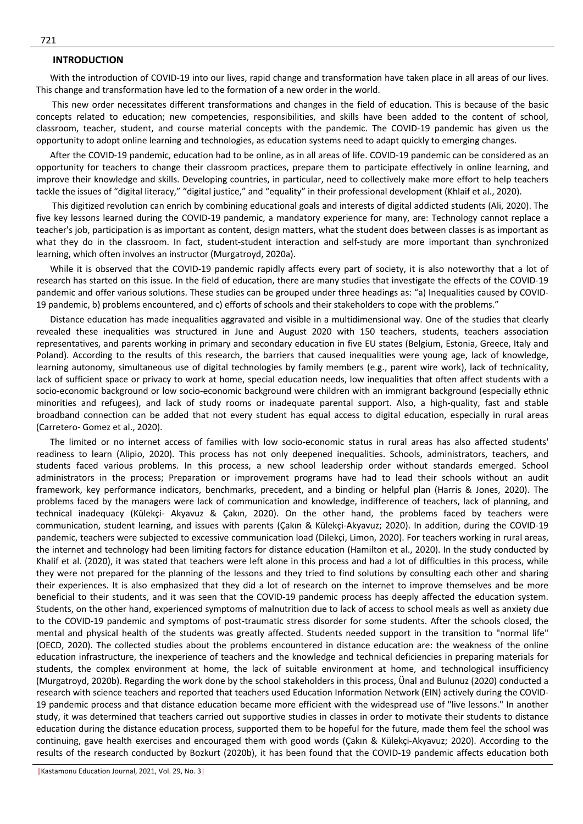## **INTRODUCTION**

With the introduction of COVID-19 into our lives, rapid change and transformation have taken place in all areas of our lives. This change and transformation have led to the formation of a new order in the world.

This new order necessitates different transformations and changes in the field of education. This is because of the basic concepts related to education; new competencies, responsibilities, and skills have been added to the content of school, classroom, teacher, student, and course material concepts with the pandemic. The COVID-19 pandemic has given us the opportunity to adopt online learning and technologies, as education systems need to adapt quickly to emerging changes.

After the COVID-19 pandemic, education had to be online, as in all areas of life. COVID-19 pandemic can be considered as an opportunity for teachers to change their classroom practices, prepare them to participate effectively in online learning, and improve their knowledge and skills. Developing countries, in particular, need to collectively make more effort to help teachers tackle the issues of "digital literacy," "digital justice," and "equality" in their professional development (Khlaif et al., 2020).

This digitized revolution can enrich by combining educational goals and interests of digital addicted students (Ali, 2020). The five key lessons learned during the COVID-19 pandemic, a mandatory experience for many, are: Technology cannot replace a teacher's job, participation is as important as content, design matters, what the student does between classes is as important as what they do in the classroom. In fact, student-student interaction and self-study are more important than synchronized learning, which often involves an instructor (Murgatroyd, 2020a).

While it is observed that the COVID-19 pandemic rapidly affects every part of society, it is also noteworthy that a lot of research has started on this issue. In the field of education, there are many studies that investigate the effects of the COVID-19 pandemic and offer various solutions. These studies can be grouped under three headings as: "a) Inequalities caused by COVID-19 pandemic, b) problems encountered, and c) efforts of schools and their stakeholders to cope with the problems."

Distance education has made inequalities aggravated and visible in a multidimensional way. One of the studies that clearly revealed these inequalities was structured in June and August 2020 with 150 teachers, students, teachers association representatives, and parents working in primary and secondary education in five EU states (Belgium, Estonia, Greece, Italy and Poland). According to the results of this research, the barriers that caused inequalities were young age, lack of knowledge, learning autonomy, simultaneous use of digital technologies by family members (e.g., parent wire work), lack of technicality, lack of sufficient space or privacy to work at home, special education needs, low inequalities that often affect students with a socio-economic background or low socio-economic background were children with an immigrant background (especially ethnic minorities and refugees), and lack of study rooms or inadequate parental support. Also, a high-quality, fast and stable broadband connection can be added that not every student has equal access to digital education, especially in rural areas (Carretero- Gomez et al., 2020).

The limited or no internet access of families with low socio-economic status in rural areas has also affected students' readiness to learn (Alipio, 2020). This process has not only deepened inequalities. Schools, administrators, teachers, and students faced various problems. In this process, a new school leadership order without standards emerged. School administrators in the process; Preparation or improvement programs have had to lead their schools without an audit framework, key performance indicators, benchmarks, precedent, and a binding or helpful plan (Harris & Jones, 2020). The problems faced by the managers were lack of communication and knowledge, indifference of teachers, lack of planning, and technical inadequacy (Külekçi- Akyavuz & Çakın, 2020). On the other hand, the problems faced by teachers were communication, student learning, and issues with parents (Çakın & Külekçi-Akyavuz; 2020). In addition, during the COVID-19 pandemic, teachers were subjected to excessive communication load (Dilekçi, Limon, 2020). For teachers working in rural areas, the internet and technology had been limiting factors for distance education (Hamilton et al., 2020). In the study conducted by Khalif et al. (2020), it was stated that teachers were left alone in this process and had a lot of difficulties in this process, while they were not prepared for the planning of the lessons and they tried to find solutions by consulting each other and sharing their experiences. It is also emphasized that they did a lot of research on the internet to improve themselves and be more beneficial to their students, and it was seen that the COVID-19 pandemic process has deeply affected the education system. Students, on the other hand, experienced symptoms of malnutrition due to lack of access to school meals as well as anxiety due to the COVID-19 pandemic and symptoms of post-traumatic stress disorder for some students. After the schools closed, the mental and physical health of the students was greatly affected. Students needed support in the transition to "normal life" (OECD, 2020). The collected studies about the problems encountered in distance education are: the weakness of the online education infrastructure, the inexperience of teachers and the knowledge and technical deficiencies in preparing materials for students, the complex environment at home, the lack of suitable environment at home, and technological insufficiency (Murgatroyd, 2020b). Regarding the work done by the school stakeholders in this process, Ünal and Bulunuz (2020) conducted a research with science teachers and reported that teachers used Education Information Network (EIN) actively during the COVID-19 pandemic process and that distance education became more efficient with the widespread use of "live lessons." In another study, it was determined that teachers carried out supportive studies in classes in order to motivate their students to distance education during the distance education process, supported them to be hopeful for the future, made them feel the school was continuing, gave health exercises and encouraged them with good words (Çakın & Külekçi-Akyavuz; 2020). According to the results of the research conducted by Bozkurt (2020b), it has been found that the COVID-19 pandemic affects education both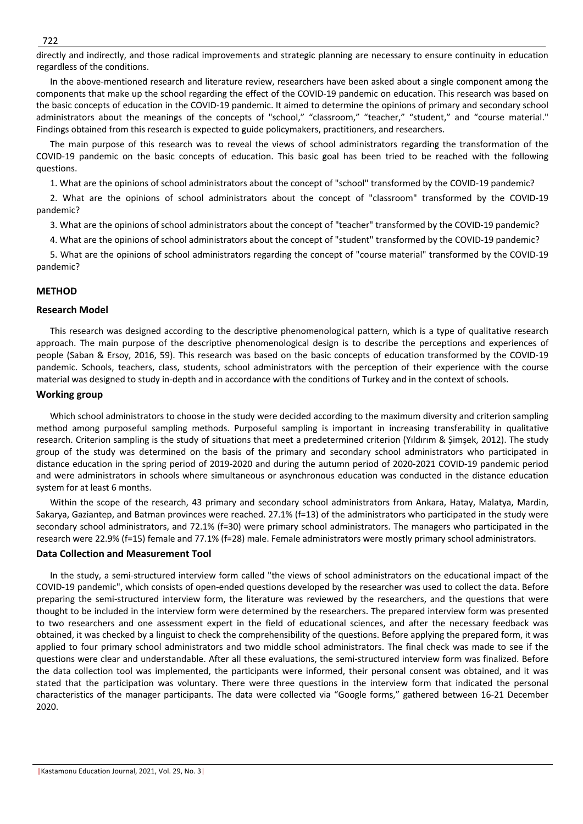directly and indirectly, and those radical improvements and strategic planning are necessary to ensure continuity in education regardless of the conditions.

In the above-mentioned research and literature review, researchers have been asked about a single component among the components that make up the school regarding the effect of the COVID-19 pandemic on education. This research was based on the basic concepts of education in the COVID-19 pandemic. It aimed to determine the opinions of primary and secondary school administrators about the meanings of the concepts of "school," "classroom," "teacher," "student," and "course material." Findings obtained from this research is expected to guide policymakers, practitioners, and researchers.

The main purpose of this research was to reveal the views of school administrators regarding the transformation of the COVID-19 pandemic on the basic concepts of education. This basic goal has been tried to be reached with the following questions.

1. What are the opinions of school administrators about the concept of "school" transformed by the COVID-19 pandemic?

2. What are the opinions of school administrators about the concept of "classroom" transformed by the COVID-19 pandemic?

3. What are the opinions of school administrators about the concept of "teacher" transformed by the COVID-19 pandemic?

4. What are the opinions of school administrators about the concept of "student" transformed by the COVID-19 pandemic?

5. What are the opinions of school administrators regarding the concept of "course material" transformed by the COVID-19 pandemic?

# **METHOD**

# **Research Model**

This research was designed according to the descriptive phenomenological pattern, which is a type of qualitative research approach. The main purpose of the descriptive phenomenological design is to describe the perceptions and experiences of people (Saban & Ersoy, 2016, 59). This research was based on the basic concepts of education transformed by the COVID-19 pandemic. Schools, teachers, class, students, school administrators with the perception of their experience with the course material was designed to study in-depth and in accordance with the conditions of Turkey and in the context of schools.

# **Working group**

Which school administrators to choose in the study were decided according to the maximum diversity and criterion sampling method among purposeful sampling methods. Purposeful sampling is important in increasing transferability in qualitative research. Criterion sampling is the study of situations that meet a predetermined criterion (Yıldırım & Şimşek, 2012). The study group of the study was determined on the basis of the primary and secondary school administrators who participated in distance education in the spring period of 2019-2020 and during the autumn period of 2020-2021 COVID-19 pandemic period and were administrators in schools where simultaneous or asynchronous education was conducted in the distance education system for at least 6 months.

Within the scope of the research, 43 primary and secondary school administrators from Ankara, Hatay, Malatya, Mardin, Sakarya, Gaziantep, and Batman provinces were reached. 27.1% (f=13) of the administrators who participated in the study were secondary school administrators, and 72.1% (f=30) were primary school administrators. The managers who participated in the research were 22.9% (f=15) female and 77.1% (f=28) male. Female administrators were mostly primary school administrators.

# **Data Collection and Measurement Tool**

In the study, a semi-structured interview form called "the views of school administrators on the educational impact of the COVID-19 pandemic", which consists of open-ended questions developed by the researcher was used to collect the data. Before preparing the semi-structured interview form, the literature was reviewed by the researchers, and the questions that were thought to be included in the interview form were determined by the researchers. The prepared interview form was presented to two researchers and one assessment expert in the field of educational sciences, and after the necessary feedback was obtained, it was checked by a linguist to check the comprehensibility of the questions. Before applying the prepared form, it was applied to four primary school administrators and two middle school administrators. The final check was made to see if the questions were clear and understandable. After all these evaluations, the semi-structured interview form was finalized. Before the data collection tool was implemented, the participants were informed, their personal consent was obtained, and it was stated that the participation was voluntary. There were three questions in the interview form that indicated the personal characteristics of the manager participants. The data were collected via "Google forms," gathered between 16-21 December 2020.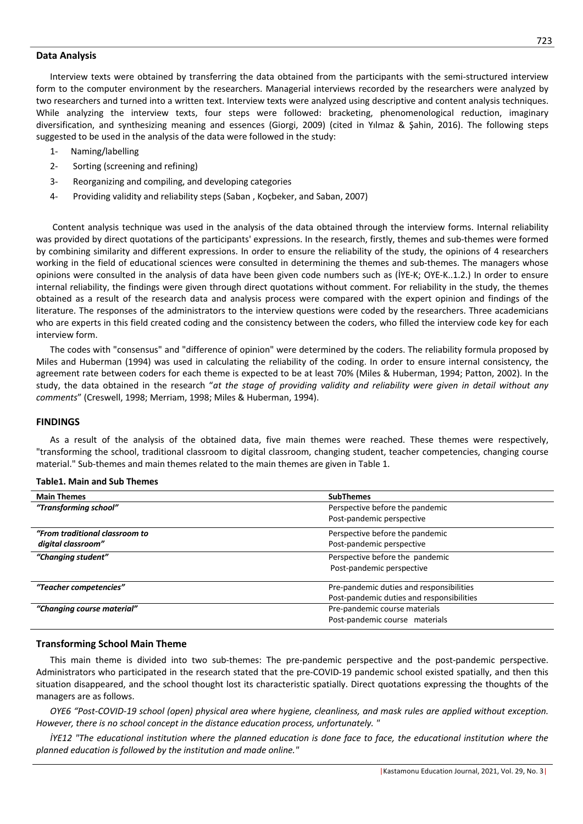### **Data Analysis**

Interview texts were obtained by transferring the data obtained from the participants with the semi-structured interview form to the computer environment by the researchers. Managerial interviews recorded by the researchers were analyzed by two researchers and turned into a written text. Interview texts were analyzed using descriptive and content analysis techniques. While analyzing the interview texts, four steps were followed: bracketing, phenomenological reduction, imaginary diversification, and synthesizing meaning and essences (Giorgi, 2009) (cited in Yılmaz & Şahin, 2016). The following steps suggested to be used in the analysis of the data were followed in the study:

- 1- Naming/labelling
- 2- Sorting (screening and refining)
- 3- Reorganizing and compiling, and developing categories
- 4- Providing validity and reliability steps (Saban , Koçbeker, and Saban, 2007)

Content analysis technique was used in the analysis of the data obtained through the interview forms. Internal reliability was provided by direct quotations of the participants' expressions. In the research, firstly, themes and sub-themes were formed by combining similarity and different expressions. In order to ensure the reliability of the study, the opinions of 4 researchers working in the field of educational sciences were consulted in determining the themes and sub-themes. The managers whose opinions were consulted in the analysis of data have been given code numbers such as (İYE-K; OYE-K..1.2.) In order to ensure internal reliability, the findings were given through direct quotations without comment. For reliability in the study, the themes obtained as a result of the research data and analysis process were compared with the expert opinion and findings of the literature. The responses of the administrators to the interview questions were coded by the researchers. Three academicians who are experts in this field created coding and the consistency between the coders, who filled the interview code key for each interview form.

The codes with "consensus" and "difference of opinion" were determined by the coders. The reliability formula proposed by Miles and Huberman (1994) was used in calculating the reliability of the coding. In order to ensure internal consistency, the agreement rate between coders for each theme is expected to be at least 70% (Miles & Huberman, 1994; Patton, 2002). In the study, the data obtained in the research "*at the stage of providing validity and reliability were given in detail without any comments*" (Creswell, 1998; Merriam, 1998; Miles & Huberman, 1994).

### **FINDINGS**

As a result of the analysis of the obtained data, five main themes were reached. These themes were respectively, "transforming the school, traditional classroom to digital classroom, changing student, teacher competencies, changing course material." Sub-themes and main themes related to the main themes are given in Table 1.

## **Table1. Main and Sub Themes**

| <b>Main Themes</b>             | <b>SubThemes</b>                          |  |
|--------------------------------|-------------------------------------------|--|
| "Transforming school"          | Perspective before the pandemic           |  |
|                                | Post-pandemic perspective                 |  |
| "From traditional classroom to | Perspective before the pandemic           |  |
| digital classroom"             | Post-pandemic perspective                 |  |
| "Changing student"             | Perspective before the pandemic           |  |
|                                | Post-pandemic perspective                 |  |
| "Teacher competencies"         | Pre-pandemic duties and responsibilities  |  |
|                                | Post-pandemic duties and responsibilities |  |
| "Changing course material"     | Pre-pandemic course materials             |  |
|                                | Post-pandemic course materials            |  |
|                                |                                           |  |

#### **Transforming School Main Theme**

This main theme is divided into two sub-themes: The pre-pandemic perspective and the post-pandemic perspective. Administrators who participated in the research stated that the pre-COVID-19 pandemic school existed spatially, and then this situation disappeared, and the school thought lost its characteristic spatially. Direct quotations expressing the thoughts of the managers are as follows.

*OYE6 "Post-COVID-19 school (open) physical area where hygiene, cleanliness, and mask rules are applied without exception. However, there is no school concept in the distance education process, unfortunately. "*

*İYE12 "The educational institution where the planned education is done face to face, the educational institution where the planned education is followed by the institution and made online."*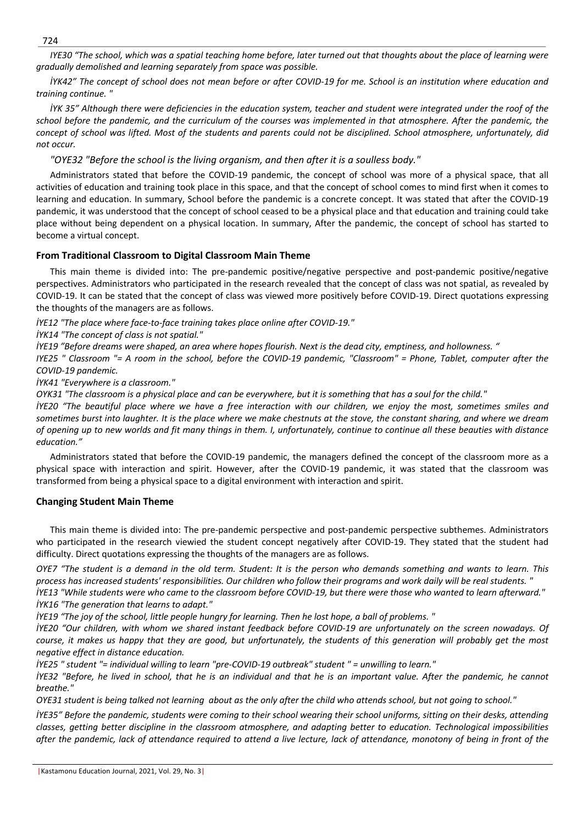*IYE30 "The school, which was a spatial teaching home before, later turned out that thoughts about the place of learning were gradually demolished and learning separately from space was possible.*

*İYK42" The concept of school does not mean before or after COVID-19 for me. School is an institution where education and training continue. "*

*İYK 35" Although there were deficiencies in the education system, teacher and student were integrated under the roof of the school before the pandemic, and the curriculum of the courses was implemented in that atmosphere. After the pandemic, the concept of school was lifted. Most of the students and parents could not be disciplined. School atmosphere, unfortunately, did not occur.* 

*"OYE32 "Before the school is the living organism, and then after it is a soulless body."*

Administrators stated that before the COVID-19 pandemic, the concept of school was more of a physical space, that all activities of education and training took place in this space, and that the concept of school comes to mind first when it comes to learning and education. In summary, School before the pandemic is a concrete concept. It was stated that after the COVID-19 pandemic, it was understood that the concept of school ceased to be a physical place and that education and training could take place without being dependent on a physical location. In summary, After the pandemic, the concept of school has started to become a virtual concept.

# **From Traditional Classroom to Digital Classroom Main Theme**

This main theme is divided into: The pre-pandemic positive/negative perspective and post-pandemic positive/negative perspectives. Administrators who participated in the research revealed that the concept of class was not spatial, as revealed by COVID-19. It can be stated that the concept of class was viewed more positively before COVID-19. Direct quotations expressing the thoughts of the managers are as follows.

*İYE12 "The place where face-to-face training takes place online after COVID-19."*

*İYK14 "The concept of class is not spatial."*

*İYE19 "Before dreams were shaped, an area where hopes flourish. Next is the dead city, emptiness, and hollowness. "*

*IYE25 " Classroom "= A room in the school, before the COVID-19 pandemic, "Classroom" = Phone, Tablet, computer after the COVID-19 pandemic.*

*İYK41 "Everywhere is a classroom."*

*OYK31 "The classroom is a physical place and can be everywhere, but it is something that has a soul for the child."*

*İYE20 "The beautiful place where we have a free interaction with our children, we enjoy the most, sometimes smiles and sometimes burst into laughter. It is the place where we make chestnuts at the stove, the constant sharing, and where we dream of opening up to new worlds and fit many things in them. I, unfortunately, continue to continue all these beauties with distance education."*

Administrators stated that before the COVID-19 pandemic, the managers defined the concept of the classroom more as a physical space with interaction and spirit. However, after the COVID-19 pandemic, it was stated that the classroom was transformed from being a physical space to a digital environment with interaction and spirit.

# **Changing Student Main Theme**

This main theme is divided into: The pre-pandemic perspective and post-pandemic perspective subthemes. Administrators who participated in the research viewied the student concept negatively after COVID-19. They stated that the student had difficulty. Direct quotations expressing the thoughts of the managers are as follows.

*OYE7 "The student is a demand in the old term. Student: It is the person who demands something and wants to learn. This process has increased students' responsibilities. Our children who follow their programs and work daily will be real students. " İYE13 "While students were who came to the classroom before COVID-19, but there were those who wanted to learn afterward." İYK16 "The generation that learns to adapt."*

*İYE19 "The joy of the school, little people hungry for learning. Then he lost hope, a ball of problems. "*

*İYE20 "Our children, with whom we shared instant feedback before COVID-19 are unfortunately on the screen nowadays. Of course, it makes us happy that they are good, but unfortunately, the students of this generation will probably get the most negative effect in distance education.*

*İYE25 " student "= individual willing to learn "pre-COVID-19 outbreak" student " = unwilling to learn."* 

*İYE32 "Before, he lived in school, that he is an individual and that he is an important value. After the pandemic, he cannot breathe."*

*OYE31 student is being talked not learning about as the only after the child who attends school, but not going to school."*

*İYE35" Before the pandemic, students were coming to their school wearing their school uniforms, sitting on their desks, attending classes, getting better discipline in the classroom atmosphere, and adapting better to education. Technological impossibilities after the pandemic, lack of attendance required to attend a live lecture, lack of attendance, monotony of being in front of the* 

724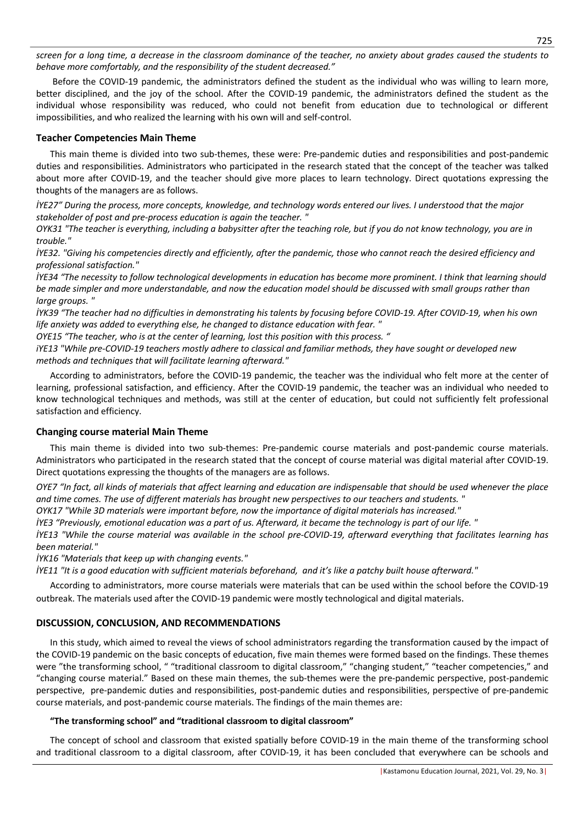*screen for a long time, a decrease in the classroom dominance of the teacher, no anxiety about grades caused the students to behave more comfortably, and the responsibility of the student decreased."*

Before the COVID-19 pandemic, the administrators defined the student as the individual who was willing to learn more, better disciplined, and the joy of the school. After the COVID-19 pandemic, the administrators defined the student as the individual whose responsibility was reduced, who could not benefit from education due to technological or different impossibilities, and who realized the learning with his own will and self-control.

# **Teacher Competencies Main Theme**

This main theme is divided into two sub-themes, these were: Pre-pandemic duties and responsibilities and post-pandemic duties and responsibilities. Administrators who participated in the research stated that the concept of the teacher was talked about more after COVID-19, and the teacher should give more places to learn technology. Direct quotations expressing the thoughts of the managers are as follows.

*İYE27" During the process, more concepts, knowledge, and technology words entered our lives. I understood that the major stakeholder of post and pre-process education is again the teacher. "*

*OYK31 "The teacher is everything, including a babysitter after the teaching role, but if you do not know technology, you are in trouble."*

*İYE32. "Giving his competencies directly and efficiently, after the pandemic, those who cannot reach the desired efficiency and professional satisfaction."*

*İYE34 "The necessity to follow technological developments in education has become more prominent. I think that learning should be made simpler and more understandable, and now the education model should be discussed with small groups rather than large groups. "*

*İYK39 "The teacher had no difficulties in demonstrating his talents by focusing before COVID-19. After COVID-19, when his own life anxiety was added to everything else, he changed to distance education with fear. "*

*OYE15 "The teacher, who is at the center of learning, lost this position with this process. "*

*iYE13 "While pre-COVID-19 teachers mostly adhere to classical and familiar methods, they have sought or developed new methods and techniques that will facilitate learning afterward."*

According to administrators, before the COVID-19 pandemic, the teacher was the individual who felt more at the center of learning, professional satisfaction, and efficiency. After the COVID-19 pandemic, the teacher was an individual who needed to know technological techniques and methods, was still at the center of education, but could not sufficiently felt professional satisfaction and efficiency.

# **Changing course material Main Theme**

This main theme is divided into two sub-themes: Pre-pandemic course materials and post-pandemic course materials. Administrators who participated in the research stated that the concept of course material was digital material after COVID-19. Direct quotations expressing the thoughts of the managers are as follows.

*OYE7 "In fact, all kinds of materials that affect learning and education are indispensable that should be used whenever the place and time comes. The use of different materials has brought new perspectives to our teachers and students. "*

*OYK17 "While 3D materials were important before, now the importance of digital materials has increased."*

*İYE3 "Previously, emotional education was a part of us. Afterward, it became the technology is part of our life. "*

*İYE13 "While the course material was available in the school pre-COVID-19, afterward everything that facilitates learning has been material."*

*İYK16 "Materials that keep up with changing events."*

*İYE11 "It is a good education with sufficient materials beforehand, and it's like a patchy built house afterward."*

According to administrators, more course materials were materials that can be used within the school before the COVID-19 outbreak. The materials used after the COVID-19 pandemic were mostly technological and digital materials.

# **DISCUSSION, CONCLUSION, AND RECOMMENDATIONS**

In this study, which aimed to reveal the views of school administrators regarding the transformation caused by the impact of the COVID-19 pandemic on the basic concepts of education, five main themes were formed based on the findings. These themes were "the transforming school, " "traditional classroom to digital classroom," "changing student," "teacher competencies," and "changing course material." Based on these main themes, the sub-themes were the pre-pandemic perspective, post-pandemic perspective, pre-pandemic duties and responsibilities, post-pandemic duties and responsibilities, perspective of pre-pandemic course materials, and post-pandemic course materials. The findings of the main themes are:

# **"The transforming school" and "traditional classroom to digital classroom"**

The concept of school and classroom that existed spatially before COVID-19 in the main theme of the transforming school and traditional classroom to a digital classroom, after COVID-19, it has been concluded that everywhere can be schools and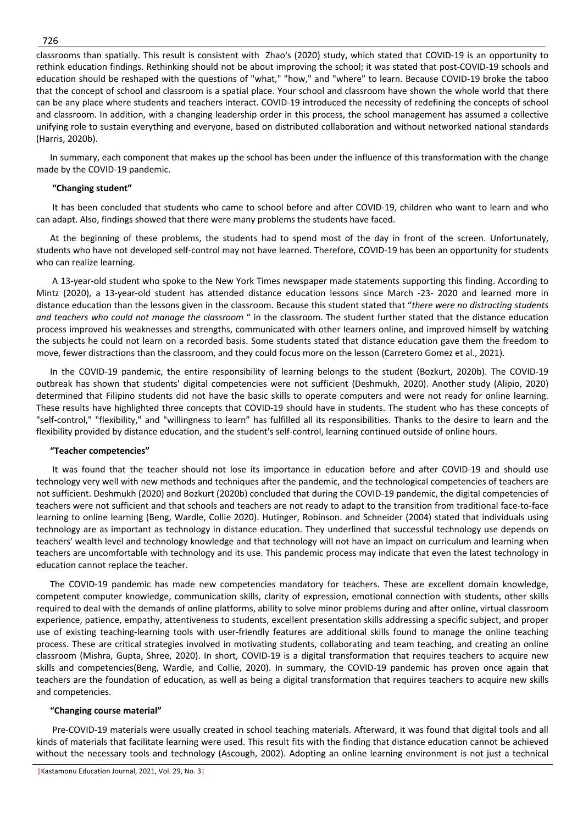classrooms than spatially. This result is consistent with Zhao's (2020) study, which stated that COVID-19 is an opportunity to rethink education findings. Rethinking should not be about improving the school; it was stated that post-COVID-19 schools and education should be reshaped with the questions of "what," "how," and "where" to learn. Because COVID-19 broke the taboo that the concept of school and classroom is a spatial place. Your school and classroom have shown the whole world that there can be any place where students and teachers interact. COVID-19 introduced the necessity of redefining the concepts of school and classroom. In addition, with a changing leadership order in this process, the school management has assumed a collective unifying role to sustain everything and everyone, based on distributed collaboration and without networked national standards (Harris, 2020b).

In summary, each component that makes up the school has been under the influence of this transformation with the change made by the COVID-19 pandemic.

### **"Changing student"**

It has been concluded that students who came to school before and after COVID-19, children who want to learn and who can adapt. Also, findings showed that there were many problems the students have faced.

At the beginning of these problems, the students had to spend most of the day in front of the screen. Unfortunately, students who have not developed self-control may not have learned. Therefore, COVID-19 has been an opportunity for students who can realize learning.

A 13-year-old student who spoke to the New York Times newspaper made statements supporting this finding. According to Mintz (2020), a 13-year-old student has attended distance education lessons since March -23- 2020 and learned more in distance education than the lessons given in the classroom. Because this student stated that "*there were no distracting students and teachers who could not manage the classroom* " in the classroom. The student further stated that the distance education process improved his weaknesses and strengths, communicated with other learners online, and improved himself by watching the subjects he could not learn on a recorded basis. Some students stated that distance education gave them the freedom to move, fewer distractions than the classroom, and they could focus more on the lesson (Carretero Gomez et al., 2021).

In the COVID-19 pandemic, the entire responsibility of learning belongs to the student (Bozkurt, 2020b). The COVID-19 outbreak has shown that students' digital competencies were not sufficient (Deshmukh, 2020). Another study (Alipio, 2020) determined that Filipino students did not have the basic skills to operate computers and were not ready for online learning. These results have highlighted three concepts that COVID-19 should have in students. The student who has these concepts of "self-control," "flexibility," and "willingness to learn" has fulfilled all its responsibilities. Thanks to the desire to learn and the flexibility provided by distance education, and the student's self-control, learning continued outside of online hours.

#### **"Teacher competencies"**

It was found that the teacher should not lose its importance in education before and after COVID-19 and should use technology very well with new methods and techniques after the pandemic, and the technological competencies of teachers are not sufficient. Deshmukh (2020) and Bozkurt (2020b) concluded that during the COVID-19 pandemic, the digital competencies of teachers were not sufficient and that schools and teachers are not ready to adapt to the transition from traditional face-to-face learning to online learning (Beng, Wardle, Collie 2020). Hutinger, Robinson. and Schneider (2004) stated that individuals using technology are as important as technology in distance education. They underlined that successful technology use depends on teachers' wealth level and technology knowledge and that technology will not have an impact on curriculum and learning when teachers are uncomfortable with technology and its use. This pandemic process may indicate that even the latest technology in education cannot replace the teacher.

The COVID-19 pandemic has made new competencies mandatory for teachers. These are excellent domain knowledge, competent computer knowledge, communication skills, clarity of expression, emotional connection with students, other skills required to deal with the demands of online platforms, ability to solve minor problems during and after online, virtual classroom experience, patience, empathy, attentiveness to students, excellent presentation skills addressing a specific subject, and proper use of existing teaching-learning tools with user-friendly features are additional skills found to manage the online teaching process. These are critical strategies involved in motivating students, collaborating and team teaching, and creating an online classroom (Mishra, Gupta, Shree, 2020). In short, COVID-19 is a digital transformation that requires teachers to acquire new skills and competencies(Beng, Wardle, and Collie, 2020). In summary, the COVID-19 pandemic has proven once again that teachers are the foundation of education, as well as being a digital transformation that requires teachers to acquire new skills and competencies.

#### **"Changing course material"**

Pre-COVID-19 materials were usually created in school teaching materials. Afterward, it was found that digital tools and all kinds of materials that facilitate learning were used. This result fits with the finding that distance education cannot be achieved without the necessary tools and technology (Ascough, 2002). Adopting an online learning environment is not just a technical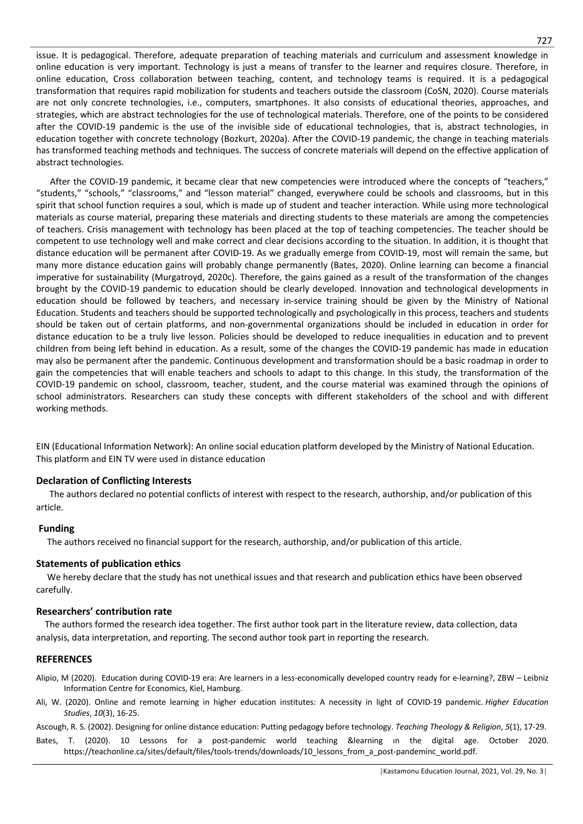issue. It is pedagogical. Therefore, adequate preparation of teaching materials and curriculum and assessment knowledge in online education is very important. Technology is just a means of transfer to the learner and requires closure. Therefore, in online education, Cross collaboration between teaching, content, and technology teams is required. It is a pedagogical transformation that requires rapid mobilization for students and teachers outside the classroom (CoSN, 2020). Course materials are not only concrete technologies, i.e., computers, smartphones. It also consists of educational theories, approaches, and strategies, which are abstract technologies for the use of technological materials. Therefore, one of the points to be considered after the COVID-19 pandemic is the use of the invisible side of educational technologies, that is, abstract technologies, in education together with concrete technology (Bozkurt, 2020a). After the COVID-19 pandemic, the change in teaching materials has transformed teaching methods and techniques. The success of concrete materials will depend on the effective application of abstract technologies.

After the COVID-19 pandemic, it became clear that new competencies were introduced where the concepts of "teachers," "students," "schools," "classrooms," and "lesson material" changed, everywhere could be schools and classrooms, but in this spirit that school function requires a soul, which is made up of student and teacher interaction. While using more technological materials as course material, preparing these materials and directing students to these materials are among the competencies of teachers. Crisis management with technology has been placed at the top of teaching competencies. The teacher should be competent to use technology well and make correct and clear decisions according to the situation. In addition, it is thought that distance education will be permanent after COVID-19. As we gradually emerge from COVID-19, most will remain the same, but many more distance education gains will probably change permanently (Bates, 2020). Online learning can become a financial imperative for sustainability (Murgatroyd, 2020c). Therefore, the gains gained as a result of the transformation of the changes brought by the COVID-19 pandemic to education should be clearly developed. Innovation and technological developments in education should be followed by teachers, and necessary in-service training should be given by the Ministry of National Education. Students and teachers should be supported technologically and psychologically in this process, teachers and students should be taken out of certain platforms, and non-governmental organizations should be included in education in order for distance education to be a truly live lesson. Policies should be developed to reduce inequalities in education and to prevent children from being left behind in education. As a result, some of the changes the COVID-19 pandemic has made in education may also be permanent after the pandemic. Continuous development and transformation should be a basic roadmap in order to gain the competencies that will enable teachers and schools to adapt to this change. In this study, the transformation of the COVID-19 pandemic on school, classroom, teacher, student, and the course material was examined through the opinions of school administrators. Researchers can study these concepts with different stakeholders of the school and with different working methods.

EIN (Educational Information Network): An online social education platform developed by the Ministry of National Education. This platform and EIN TV were used in distance education

# **Declaration of Conflicting Interests**

 The authors declared no potential conflicts of interest with respect to the research, authorship, and/or publication of this article.

# **Funding**

The authors received no financial support for the research, authorship, and/or publication of this article.

# **Statements of publication ethics**

 We hereby declare that the study has not unethical issues and that research and publication ethics have been observed carefully.

# **Researchers' contribution rate**

 The authors formed the research idea together. The first author took part in the literature review, data collection, data analysis, data interpretation, and reporting. The second author took part in reporting the research.

# **REFERENCES**

- Alipio, M (2020). Education during COVID-19 era: Are learners in a less-economically developed country ready for e-learning?, ZBW Leibniz Information Centre for Economics, Kiel, Hamburg.
- Ali, W. (2020). Online and remote learning in higher education institutes: A necessity in light of COVID-19 pandemic. *Higher Education Studies*, *10*(3), 16-25.

Ascough, R. S. (2002). Designing for online distance education: Putting pedagogy before technology. *Teaching Theology & Religion*, *5*(1), 17-29.

Bates, T. (2020). 10 Lessons for a post-pandemic world teaching &learning ın the digital age. October 2020. https://teachonline.ca/sites/default/files/tools-trends/downloads/10\_lessons\_from\_a\_post-pandeminc\_world.pdf.